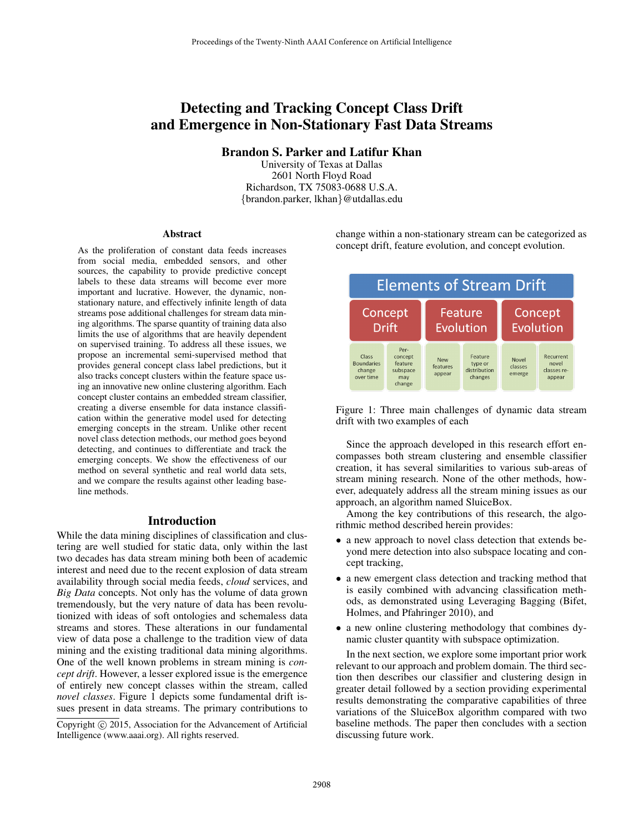# Detecting and Tracking Concept Class Drift and Emergence in Non-Stationary Fast Data Streams

Brandon S. Parker and Latifur Khan

University of Texas at Dallas 2601 North Floyd Road Richardson, TX 75083-0688 U.S.A. {brandon.parker, lkhan}@utdallas.edu

#### Abstract

As the proliferation of constant data feeds increases from social media, embedded sensors, and other sources, the capability to provide predictive concept labels to these data streams will become ever more important and lucrative. However, the dynamic, nonstationary nature, and effectively infinite length of data streams pose additional challenges for stream data mining algorithms. The sparse quantity of training data also limits the use of algorithms that are heavily dependent on supervised training. To address all these issues, we propose an incremental semi-supervised method that provides general concept class label predictions, but it also tracks concept clusters within the feature space using an innovative new online clustering algorithm. Each concept cluster contains an embedded stream classifier, creating a diverse ensemble for data instance classification within the generative model used for detecting emerging concepts in the stream. Unlike other recent novel class detection methods, our method goes beyond detecting, and continues to differentiate and track the emerging concepts. We show the effectiveness of our method on several synthetic and real world data sets, and we compare the results against other leading baseline methods.

# Introduction

While the data mining disciplines of classification and clustering are well studied for static data, only within the last two decades has data stream mining both been of academic interest and need due to the recent explosion of data stream availability through social media feeds, *cloud* services, and *Big Data* concepts. Not only has the volume of data grown tremendously, but the very nature of data has been revolutionized with ideas of soft ontologies and schemaless data streams and stores. These alterations in our fundamental view of data pose a challenge to the tradition view of data mining and the existing traditional data mining algorithms. One of the well known problems in stream mining is *concept drift*. However, a lesser explored issue is the emergence of entirely new concept classes within the stream, called *novel classes*. Figure 1 depicts some fundamental drift issues present in data streams. The primary contributions to change within a non-stationary stream can be categorized as concept drift, feature evolution, and concept evolution.



Figure 1: Three main challenges of dynamic data stream drift with two examples of each

Since the approach developed in this research effort encompasses both stream clustering and ensemble classifier creation, it has several similarities to various sub-areas of stream mining research. None of the other methods, however, adequately address all the stream mining issues as our approach, an algorithm named SluiceBox.

Among the key contributions of this research, the algorithmic method described herein provides:

- a new approach to novel class detection that extends beyond mere detection into also subspace locating and concept tracking,
- a new emergent class detection and tracking method that is easily combined with advancing classification methods, as demonstrated using Leveraging Bagging (Bifet, Holmes, and Pfahringer 2010), and
- a new online clustering methodology that combines dynamic cluster quantity with subspace optimization.

In the next section, we explore some important prior work relevant to our approach and problem domain. The third section then describes our classifier and clustering design in greater detail followed by a section providing experimental results demonstrating the comparative capabilities of three variations of the SluiceBox algorithm compared with two baseline methods. The paper then concludes with a section discussing future work.

Copyright (c) 2015, Association for the Advancement of Artificial Intelligence (www.aaai.org). All rights reserved.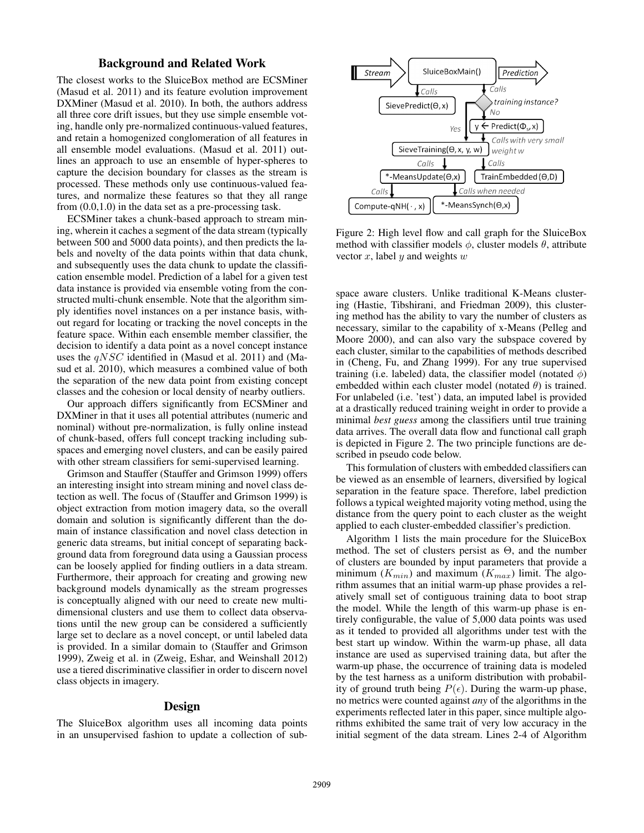## Background and Related Work

The closest works to the SluiceBox method are ECSMiner (Masud et al. 2011) and its feature evolution improvement DXMiner (Masud et al. 2010). In both, the authors address all three core drift issues, but they use simple ensemble voting, handle only pre-normalized continuous-valued features, and retain a homogenized conglomeration of all features in all ensemble model evaluations. (Masud et al. 2011) outlines an approach to use an ensemble of hyper-spheres to capture the decision boundary for classes as the stream is processed. These methods only use continuous-valued features, and normalize these features so that they all range from (0.0,1.0) in the data set as a pre-processing task.

ECSMiner takes a chunk-based approach to stream mining, wherein it caches a segment of the data stream (typically between 500 and 5000 data points), and then predicts the labels and novelty of the data points within that data chunk, and subsequently uses the data chunk to update the classification ensemble model. Prediction of a label for a given test data instance is provided via ensemble voting from the constructed multi-chunk ensemble. Note that the algorithm simply identifies novel instances on a per instance basis, without regard for locating or tracking the novel concepts in the feature space. Within each ensemble member classifier, the decision to identify a data point as a novel concept instance uses the  $qNSC$  identified in (Masud et al. 2011) and (Masud et al. 2010), which measures a combined value of both the separation of the new data point from existing concept classes and the cohesion or local density of nearby outliers.

Our approach differs significantly from ECSMiner and DXMiner in that it uses all potential attributes (numeric and nominal) without pre-normalization, is fully online instead of chunk-based, offers full concept tracking including subspaces and emerging novel clusters, and can be easily paired with other stream classifiers for semi-supervised learning.

Grimson and Stauffer (Stauffer and Grimson 1999) offers an interesting insight into stream mining and novel class detection as well. The focus of (Stauffer and Grimson 1999) is object extraction from motion imagery data, so the overall domain and solution is significantly different than the domain of instance classification and novel class detection in generic data streams, but initial concept of separating background data from foreground data using a Gaussian process can be loosely applied for finding outliers in a data stream. Furthermore, their approach for creating and growing new background models dynamically as the stream progresses is conceptually aligned with our need to create new multidimensional clusters and use them to collect data observations until the new group can be considered a sufficiently large set to declare as a novel concept, or until labeled data is provided. In a similar domain to (Stauffer and Grimson 1999), Zweig et al. in (Zweig, Eshar, and Weinshall 2012) use a tiered discriminative classifier in order to discern novel class objects in imagery.

#### Design

The SluiceBox algorithm uses all incoming data points in an unsupervised fashion to update a collection of sub-



Figure 2: High level flow and call graph for the SluiceBox method with classifier models  $\phi$ , cluster models  $\theta$ , attribute vector  $x$ , label  $y$  and weights  $w$ 

space aware clusters. Unlike traditional K-Means clustering (Hastie, Tibshirani, and Friedman 2009), this clustering method has the ability to vary the number of clusters as necessary, similar to the capability of x-Means (Pelleg and Moore 2000), and can also vary the subspace covered by each cluster, similar to the capabilities of methods described in (Cheng, Fu, and Zhang 1999). For any true supervised training (i.e. labeled) data, the classifier model (notated  $\phi$ ) embedded within each cluster model (notated  $\theta$ ) is trained. For unlabeled (i.e. 'test') data, an imputed label is provided at a drastically reduced training weight in order to provide a minimal *best guess* among the classifiers until true training data arrives. The overall data flow and functional call graph is depicted in Figure 2. The two principle functions are described in pseudo code below.

This formulation of clusters with embedded classifiers can be viewed as an ensemble of learners, diversified by logical separation in the feature space. Therefore, label prediction follows a typical weighted majority voting method, using the distance from the query point to each cluster as the weight applied to each cluster-embedded classifier's prediction.

Algorithm 1 lists the main procedure for the SluiceBox method. The set of clusters persist as Θ, and the number of clusters are bounded by input parameters that provide a minimum  $(K_{min})$  and maximum  $(K_{max})$  limit. The algorithm assumes that an initial warm-up phase provides a relatively small set of contiguous training data to boot strap the model. While the length of this warm-up phase is entirely configurable, the value of 5,000 data points was used as it tended to provided all algorithms under test with the best start up window. Within the warm-up phase, all data instance are used as supervised training data, but after the warm-up phase, the occurrence of training data is modeled by the test harness as a uniform distribution with probability of ground truth being  $P(\epsilon)$ . During the warm-up phase, no metrics were counted against *any* of the algorithms in the experiments reflected later in this paper, since multiple algorithms exhibited the same trait of very low accuracy in the initial segment of the data stream. Lines 2-4 of Algorithm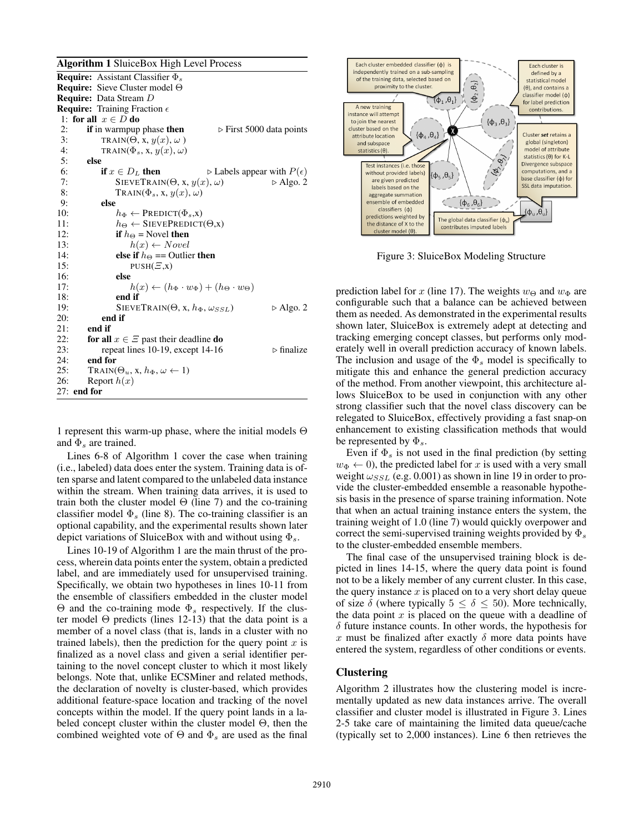#### Algorithm 1 SluiceBox High Level Process

**Require:** Assistant Classifier  $\Phi_s$ Require: Sieve Cluster model Θ Require: Data Stream D **Require:** Training Fraction  $\epsilon$ 1: for all  $x \in D$  do 2: if in warmpup phase then  $\triangleright$  First 5000 data points 3: TRAIN( $\Theta$ , x,  $y(x)$ ,  $\omega$ )<br>4: TRAIN( $\Phi$ <sub>s</sub>, x,  $y(x)$ ,  $\omega$ ) 4: TRAIN( $\Phi_s$ , x,  $y(x)$ ,  $\omega$ )<br>5: **else** else 6: **if**  $x \in D_L$  then  $\triangleright$  Labels appear with  $P(\epsilon)$ 7: SIEVETRAIN( $\Theta$ , x,  $y(x)$ ,  $\omega$ )  $\triangleright$  Algo. 2 8: TRAIN( $\Phi_s$ , x,  $y(x)$ ,  $\omega$ )<br>9: **else** 9: **else**<br>10:  $h_{\Phi} \leftarrow \text{PREDICT}(\Phi_s, \mathbf{x})$ 11:  $h_{\Theta} \leftarrow$  SIEVEPREDICT( $\Theta$ ,x) 12: **if**  $h_{\Theta}$  = Novel **then**<br>13:  $h(x) \leftarrow Novel$  $h(x) \leftarrow Novel$ 14: **else if**  $h_{\Theta}$  == Outlier **then** 15: PUSH $(E, x)$ 16: **else**<br>17:  $h(x) \leftarrow (h_{\Phi} \cdot w_{\Phi}) + (h_{\Theta} \cdot w_{\Theta})$ 18: end if 19: SIEVETRAIN( $\Theta$ , x,  $h_{\Phi}$ ,  $\omega_{SSL}$ )  $\triangleright$  Algo. 2<br>20: **end if** 20: end if<br>  $21$ : end if end if 22: for all  $x \in \Xi$  past their deadline do 23: repeat lines 10-19, except 14-16  $\triangleright$  finalize 24: end for 25: TRAIN( $\Theta_u$ , x,  $h_{\Phi}$ ,  $\omega \leftarrow 1$ ) 26: Report  $h(x)$ 27: end for

1 represent this warm-up phase, where the initial models Θ and  $\Phi_s$  are trained.

Lines 6-8 of Algorithm 1 cover the case when training (i.e., labeled) data does enter the system. Training data is often sparse and latent compared to the unlabeled data instance within the stream. When training data arrives, it is used to train both the cluster model  $\Theta$  (line 7) and the co-training classifier model  $\Phi$ <sub>s</sub> (line 8). The co-training classifier is an optional capability, and the experimental results shown later depict variations of SluiceBox with and without using  $\Phi_s$ .

Lines 10-19 of Algorithm 1 are the main thrust of the process, wherein data points enter the system, obtain a predicted label, and are immediately used for unsupervised training. Specifically, we obtain two hypotheses in lines 10-11 from the ensemble of classifiers embedded in the cluster model  $\Theta$  and the co-training mode  $\Phi_s$  respectively. If the cluster model Θ predicts (lines 12-13) that the data point is a member of a novel class (that is, lands in a cluster with no trained labels), then the prediction for the query point  $x$  is finalized as a novel class and given a serial identifier pertaining to the novel concept cluster to which it most likely belongs. Note that, unlike ECSMiner and related methods, the declaration of novelty is cluster-based, which provides additional feature-space location and tracking of the novel concepts within the model. If the query point lands in a labeled concept cluster within the cluster model  $\Theta$ , then the combined weighted vote of  $\Theta$  and  $\Phi_s$  are used as the final



Figure 3: SluiceBox Modeling Structure

prediction label for x (line 17). The weights  $w_{\Theta}$  and  $w_{\Phi}$  are configurable such that a balance can be achieved between them as needed. As demonstrated in the experimental results shown later, SluiceBox is extremely adept at detecting and tracking emerging concept classes, but performs only moderately well in overall prediction accuracy of known labels. The inclusion and usage of the  $\Phi_s$  model is specifically to mitigate this and enhance the general prediction accuracy of the method. From another viewpoint, this architecture allows SluiceBox to be used in conjunction with any other strong classifier such that the novel class discovery can be relegated to SluiceBox, effectively providing a fast snap-on enhancement to existing classification methods that would be represented by  $\Phi_s$ .

Even if  $\Phi_s$  is not used in the final prediction (by setting  $w_{\Phi} \leftarrow 0$ , the predicted label for x is used with a very small weight  $\omega_{SSL}$  (e.g. 0.001) as shown in line 19 in order to provide the cluster-embedded ensemble a reasonable hypothesis basis in the presence of sparse training information. Note that when an actual training instance enters the system, the training weight of 1.0 (line 7) would quickly overpower and correct the semi-supervised training weights provided by  $\Phi_s$ to the cluster-embedded ensemble members.

The final case of the unsupervised training block is depicted in lines 14-15, where the query data point is found not to be a likely member of any current cluster. In this case, the query instance  $x$  is placed on to a very short delay queue of size  $\delta$  (where typically  $5 \leq \delta \leq 50$ ). More technically, the data point  $x$  is placed on the queue with a deadline of  $\delta$  future instance counts. In other words, the hypothesis for x must be finalized after exactly  $\delta$  more data points have entered the system, regardless of other conditions or events.

## **Clustering**

Algorithm 2 illustrates how the clustering model is incrementally updated as new data instances arrive. The overall classifier and cluster model is illustrated in Figure 3. Lines 2-5 take care of maintaining the limited data queue/cache (typically set to 2,000 instances). Line 6 then retrieves the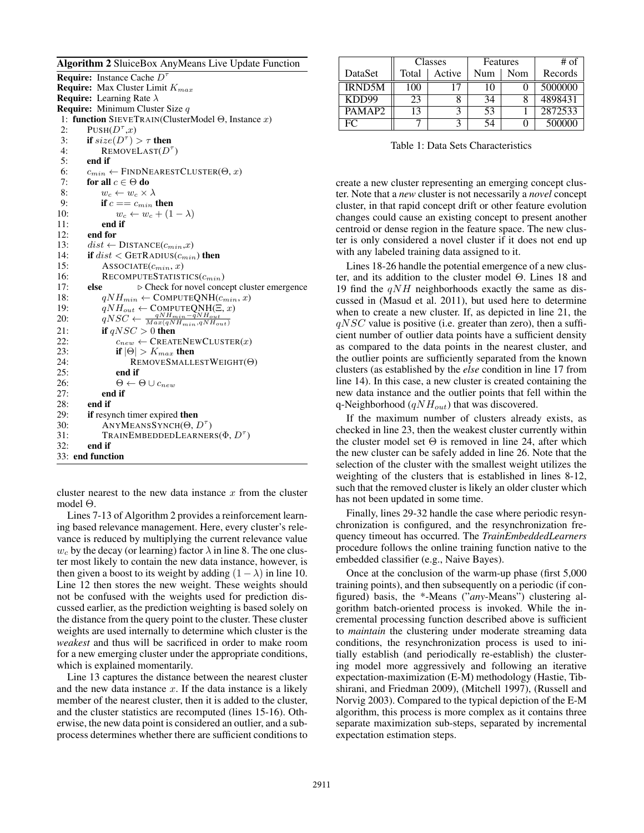Algorithm 2 SluiceBox AnyMeans Live Update Function

**Require:** Instance Cache  $D^{\dagger}$ **Require:** Max Cluster Limit  $K_{max}$ **Require:** Learning Rate  $\lambda$ Require: Minimum Cluster Size q 1: function SIEVETRAIN(ClusterModel Θ, Instance x) 2:  $\text{PUSH}(D^{\tau},x)$ 3: if  $size(D^{\tau}) > \tau$  then 4: REMOVELAST $(D^{\tau})$ 5: end if 6:  $c_{min} \leftarrow$  FINDNEARESTCLUSTER( $\Theta$ , x) 7: for all  $c \in \Theta$  do 8:  $w_c \leftarrow w_c \times \lambda$ <br>9: **if**  $c == c_{min} 1$ 9: **if**  $c = c_{min}$  **then**<br>10:  $w_c \leftarrow w_c + (1$  $w_c \leftarrow w_c + (1 - \lambda)$ 11: end if 12: **end for**<br>13:  $dist \leftarrow$  $\label{eq:dist} dist \gets \text{DISTANCE}(c_{min},\!x)$ 14: if  $dist <$  GETRADIUS $(c_{min})$  then 15: ASSOCIATE $(c_{min}, x)$ 16: RECOMPUTESTATISTICS $(c_{min})$ 17: **else**  $\triangleright$  Check for novel concept cluster emergence 18:  $qNH_{min} \leftarrow \text{COMPUTEQNH}(c_{min}, x)$ <br>19:  $qNH_{out} \leftarrow \text{COMPUTEONH}(\Xi, x)$  $qNH_{out} \leftarrow \text{COMPUTEQNH}(\Xi, x)$ 20:  $qNSC \leftarrow \frac{qNH_{min} - \tilde{q}NH_{out}}{Max(qNH_{min}, qNH_{out})}$ 21: if  $qNSC > 0$  then 22:  $c_{new} \leftarrow \text{CREATENEWCLUSTER}(x)$ 23: **if**  $|\Theta| > K_{max}$  then 24: REMOVESMALLESTWEIGHT(Θ) 25: end if 26:  $\Theta \leftarrow \Theta \cup c_{new}$ 27: end if 28: **end if**  $29$  **if** resv if resynch timer expired then 30: ANYMEANSSYNCH( $\Theta, D^{\tau}$ ) 31: TRAINEMBEDDEDLEARNERS $(\Phi, D^{\tau})$ 32: end if 33: end function

cluster nearest to the new data instance  $x$  from the cluster model Θ.

Lines 7-13 of Algorithm 2 provides a reinforcement learning based relevance management. Here, every cluster's relevance is reduced by multiplying the current relevance value  $w_c$  by the decay (or learning) factor  $\lambda$  in line 8. The one cluster most likely to contain the new data instance, however, is then given a boost to its weight by adding  $(1 - \lambda)$  in line 10. Line 12 then stores the new weight. These weights should not be confused with the weights used for prediction discussed earlier, as the prediction weighting is based solely on the distance from the query point to the cluster. These cluster weights are used internally to determine which cluster is the *weakest* and thus will be sacrificed in order to make room for a new emerging cluster under the appropriate conditions, which is explained momentarily.

Line 13 captures the distance between the nearest cluster and the new data instance  $x$ . If the data instance is a likely member of the nearest cluster, then it is added to the cluster, and the cluster statistics are recomputed (lines 15-16). Otherwise, the new data point is considered an outlier, and a subprocess determines whether there are sufficient conditions to

|                    |       | Classes | Features |     | # of    |  |
|--------------------|-------|---------|----------|-----|---------|--|
| DataSet            | Total | Active  | Num      | Nom | Records |  |
| <b>IRND5M</b>      | 100   |         | 10       |     | 5000000 |  |
| KDD99              | 23    |         | 34       |     | 4898431 |  |
| PAMAP <sub>2</sub> |       |         | 53       |     | 2872533 |  |
| EC.                |       |         | 54       |     | 500000  |  |

Table 1: Data Sets Characteristics

create a new cluster representing an emerging concept cluster. Note that a *new* cluster is not necessarily a *novel* concept cluster, in that rapid concept drift or other feature evolution changes could cause an existing concept to present another centroid or dense region in the feature space. The new cluster is only considered a novel cluster if it does not end up with any labeled training data assigned to it.

Lines 18-26 handle the potential emergence of a new cluster, and its addition to the cluster model Θ. Lines 18 and 19 find the  $qNH$  neighborhoods exactly the same as discussed in (Masud et al. 2011), but used here to determine when to create a new cluster. If, as depicted in line 21, the  $qNSC$  value is positive (i.e. greater than zero), then a sufficient number of outlier data points have a sufficient density as compared to the data points in the nearest cluster, and the outlier points are sufficiently separated from the known clusters (as established by the *else* condition in line 17 from line 14). In this case, a new cluster is created containing the new data instance and the outlier points that fell within the q-Neighborhood ( $qNH_{out}$ ) that was discovered.

If the maximum number of clusters already exists, as checked in line 23, then the weakest cluster currently within the cluster model set  $\Theta$  is removed in line 24, after which the new cluster can be safely added in line 26. Note that the selection of the cluster with the smallest weight utilizes the weighting of the clusters that is established in lines 8-12, such that the removed cluster is likely an older cluster which has not been updated in some time.

Finally, lines 29-32 handle the case where periodic resynchronization is configured, and the resynchronization frequency timeout has occurred. The *TrainEmbeddedLearners* procedure follows the online training function native to the embedded classifier (e.g., Naive Bayes).

Once at the conclusion of the warm-up phase (first 5,000 training points), and then subsequently on a periodic (if configured) basis, the \*-Means ("*any*-Means") clustering algorithm batch-oriented process is invoked. While the incremental processing function described above is sufficient to *maintain* the clustering under moderate streaming data conditions, the resynchronization process is used to initially establish (and periodically re-establish) the clustering model more aggressively and following an iterative expectation-maximization (E-M) methodology (Hastie, Tibshirani, and Friedman 2009), (Mitchell 1997), (Russell and Norvig 2003). Compared to the typical depiction of the E-M algorithm, this process is more complex as it contains three separate maximization sub-steps, separated by incremental expectation estimation steps.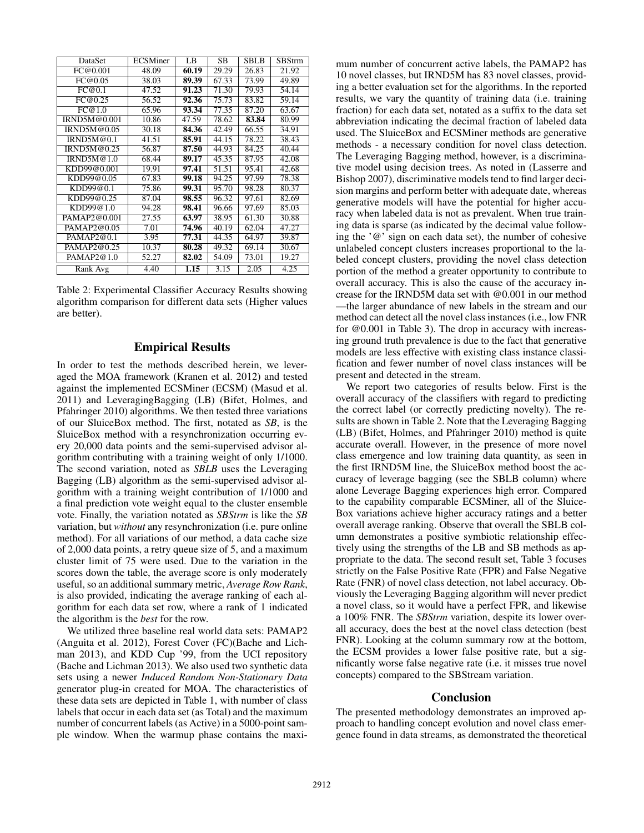| DataSet              | <b>ECSMiner</b> | LB    | <b>SB</b> | <b>SBLB</b> | <b>SBStrm</b> |
|----------------------|-----------------|-------|-----------|-------------|---------------|
| FC@0.001             | 48.09           | 60.19 | 29.29     | 26.83       | 21.92         |
| $\overline{FC@}0.05$ | 38.03           | 89.39 | 67.33     | 73.99       | 49.89         |
| FC@0.1               | 47.52           | 91.23 | 71.30     | 79.93       | 54.14         |
| FC@0.25              | 56.52           | 92.36 | 75.73     | 83.82       | 59.14         |
| FC@1.0               | 65.96           | 93.34 | 77.35     | 87.20       | 63.67         |
| IRND5M@0.001         | 10.86           | 47.59 | 78.62     | 83.84       | 80.99         |
| IRND5M@0.05          | 30.18           | 84.36 | 42.49     | 66.55       | 34.91         |
| IRND5M@0.1           | 41.51           | 85.91 | 44.15     | 78.22       | 38.43         |
| IRND5M@0.25          | 56.87           | 87.50 | 44.93     | 84.25       | 40.44         |
| IRND5M@1.0           | 68.44           | 89.17 | 45.35     | 87.95       | 42.08         |
| KDD99@0.001          | 19.91           | 97.41 | 51.51     | 95.41       | 42.68         |
| KDD99@0.05           | 67.83           | 99.18 | 94.25     | 97.99       | 78.38         |
| KDD99@0.1            | 75.86           | 99.31 | 95.70     | 98.28       | 80.37         |
| KDD99@0.25           | 87.04           | 98.55 | 96.32     | 97.61       | 82.69         |
| KDD99@1.0            | 94.28           | 98.41 | 96.66     | 97.69       | 85.03         |
| PAMAP2@0.001         | 27.55           | 63.97 | 38.95     | 61.30       | 30.88         |
| PAMAP2@0.05          | 7.01            | 74.96 | 40.19     | 62.04       | 47.27         |
| PAMAP2@0.1           | 3.95            | 77.31 | 44.35     | 64.97       | 39.87         |
| PAMAP2@0.25          | 10.37           | 80.28 | 49.32     | 69.14       | 30.67         |
| PAMAP2@1.0           | 52.27           | 82.02 | 54.09     | 73.01       | 19.27         |
| Rank Avg             | 4.40            | 1.15  | 3.15      | 2.05        | 4.25          |

Table 2: Experimental Classifier Accuracy Results showing algorithm comparison for different data sets (Higher values are better).

## Empirical Results

In order to test the methods described herein, we leveraged the MOA framework (Kranen et al. 2012) and tested against the implemented ECSMiner (ECSM) (Masud et al. 2011) and LeveragingBagging (LB) (Bifet, Holmes, and Pfahringer 2010) algorithms. We then tested three variations of our SluiceBox method. The first, notated as *SB*, is the SluiceBox method with a resynchronization occurring every 20,000 data points and the semi-supervised advisor algorithm contributing with a training weight of only 1/1000. The second variation, noted as *SBLB* uses the Leveraging Bagging (LB) algorithm as the semi-supervised advisor algorithm with a training weight contribution of 1/1000 and a final prediction vote weight equal to the cluster ensemble vote. Finally, the variation notated as *SBStrm* is like the *SB* variation, but *without* any resynchronization (i.e. pure online method). For all variations of our method, a data cache size of 2,000 data points, a retry queue size of 5, and a maximum cluster limit of 75 were used. Due to the variation in the scores down the table, the average score is only moderately useful, so an additional summary metric, *Average Row Rank*, is also provided, indicating the average ranking of each algorithm for each data set row, where a rank of 1 indicated the algorithm is the *best* for the row.

We utilized three baseline real world data sets: PAMAP2 (Anguita et al. 2012), Forest Cover (FC)(Bache and Lichman 2013), and KDD Cup '99, from the UCI repository (Bache and Lichman 2013). We also used two synthetic data sets using a newer *Induced Random Non-Stationary Data* generator plug-in created for MOA. The characteristics of these data sets are depicted in Table 1, with number of class labels that occur in each data set (as Total) and the maximum number of concurrent labels (as Active) in a 5000-point sample window. When the warmup phase contains the maxi-

mum number of concurrent active labels, the PAMAP2 has 10 novel classes, but IRND5M has 83 novel classes, providing a better evaluation set for the algorithms. In the reported results, we vary the quantity of training data (i.e. training fraction) for each data set, notated as a suffix to the data set abbreviation indicating the decimal fraction of labeled data used. The SluiceBox and ECSMiner methods are generative methods - a necessary condition for novel class detection. The Leveraging Bagging method, however, is a discriminative model using decision trees. As noted in (Lasserre and Bishop 2007), discriminative models tend to find larger decision margins and perform better with adequate date, whereas generative models will have the potential for higher accuracy when labeled data is not as prevalent. When true training data is sparse (as indicated by the decimal value following the '@' sign on each data set), the number of cohesive unlabeled concept clusters increases proportional to the labeled concept clusters, providing the novel class detection portion of the method a greater opportunity to contribute to overall accuracy. This is also the cause of the accuracy increase for the IRND5M data set with @0.001 in our method —the larger abundance of new labels in the stream and our method can detect all the novel class instances (i.e., low FNR for @0.001 in Table 3). The drop in accuracy with increasing ground truth prevalence is due to the fact that generative models are less effective with existing class instance classification and fewer number of novel class instances will be present and detected in the stream.

We report two categories of results below. First is the overall accuracy of the classifiers with regard to predicting the correct label (or correctly predicting novelty). The results are shown in Table 2. Note that the Leveraging Bagging (LB) (Bifet, Holmes, and Pfahringer 2010) method is quite accurate overall. However, in the presence of more novel class emergence and low training data quantity, as seen in the first IRND5M line, the SluiceBox method boost the accuracy of leverage bagging (see the SBLB column) where alone Leverage Bagging experiences high error. Compared to the capability comparable ECSMiner, all of the Sluice-Box variations achieve higher accuracy ratings and a better overall average ranking. Observe that overall the SBLB column demonstrates a positive symbiotic relationship effectively using the strengths of the LB and SB methods as appropriate to the data. The second result set, Table 3 focuses strictly on the False Positive Rate (FPR) and False Negative Rate (FNR) of novel class detection, not label accuracy. Obviously the Leveraging Bagging algorithm will never predict a novel class, so it would have a perfect FPR, and likewise a 100% FNR. The *SBStrm* variation, despite its lower overall accuracy, does the best at the novel class detection (best FNR). Looking at the column summary row at the bottom, the ECSM provides a lower false positive rate, but a significantly worse false negative rate (i.e. it misses true novel concepts) compared to the SBStream variation.

## Conclusion

The presented methodology demonstrates an improved approach to handling concept evolution and novel class emergence found in data streams, as demonstrated the theoretical